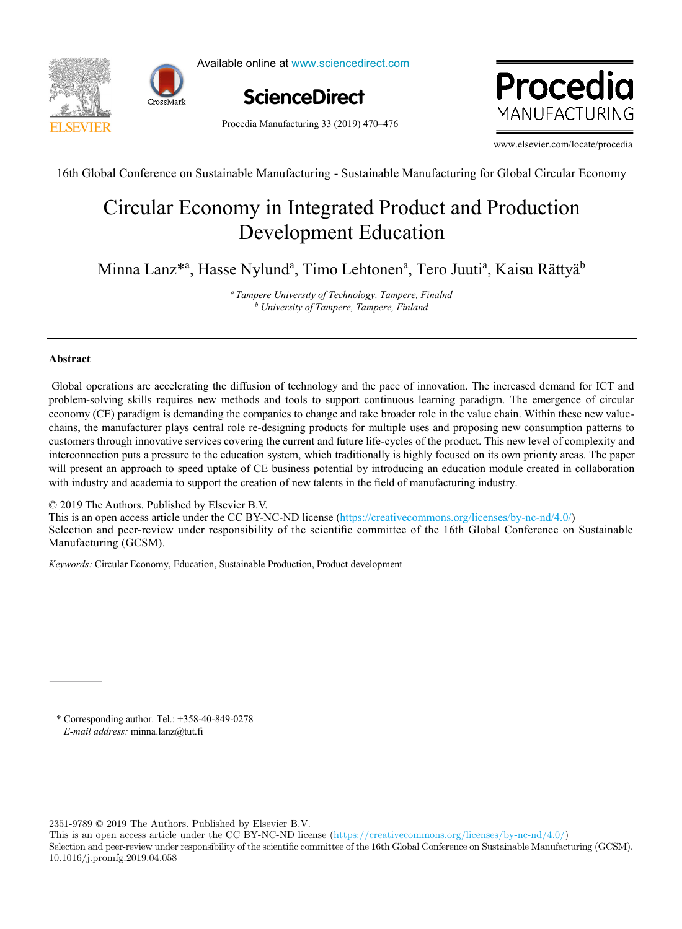

Available online at www.sciencedirect.com ScienceDirect iline at www.sciencedir



Procedia **MANUFACTURING** 

Procedia Manufacturing 33 (2019) 470–476

www.elsevier.com/locate/procedia

16th Global Conference on Sustainable Manufacturing - Sustainable Manufacturing for Global Circular Economy

#### **Manufacturing Society International Society International Conference 2017, MESIC 2017, MESIC 2017, MESIC 2017** 2010, Pontevedral Circular Economy in Integrated Product and Production ny in megrade i found Circular Economy in Integrated Product and Production Development Education

Forma Eanz quasse ivenue, film Echtonen, i eto suur, Kaisa Kattya Minna Lanz\*a , Hasse Nylunda , Timo Lehtonena , Tero Juutia , Kaisu Rättyäb *a Tampere University of Technology, Tampere, Finalnd* Minna Lanz\*<sup>a</sup>, Hasse Nylund<sup>a</sup>, Timo Lehtonen<sup>a</sup>, Tero Juuti<sup>a</sup>, Kaisu Rättyä<sup>b</sup>

performance conversity of Technology, Tampere, Tamana b<br>b University of Tampere, Tampere, Finland *<sup>b</sup> University of Tampere, Tampere, Finland a Tampere University of Technology, Tampere, Finalnd*

, P. A. Zaninbar, A. Zaninbar, A. Zaninbar, A. Zaninbar, A. Zaninbar, A. Zaninbar, A. Zaninbar, A. Zaninbar, A

, respectively. The contract of  $\mathbb{R}^n$ 

### **Abstract**

Global operations are accelerating the diffusion of technology and the pace of innovation. The increased demand for ICT and chains, the manufacturer plays central role re-designing products for multiple uses and proposing new consumption patterns to interconnection puts a pressure to the education system, which traditionally is highly focused on its own priority areas. The paper chains, the manufacturer plays central role re-designing products for multiple uses and proposing new consumption patterns to customers through innovative services covering the current and future life-cycles of the product with industry and academia to support the creation of new talents in the field of manufacturing industry. Global operations are accelerating the diffusion of technology and the pace of innovation. The increased demand for ICT and<br>problem-solving skills requires new methods and tools to support continuous learning paradigm. The economy (CE) paradigm is demanding the companies to change and take broader role in the value chain. Within these new valuecustomers through innovative services covering the current and future life-cycles of the product. This new level of complexity and

© 2019 The Authors. Published by Elsevier B.V.

 $\degree$  2019 The Authors. Published by Eisevier B.V.<br>This is an open access article under the CC BY-NC-ND license (https://creativecommons.org/licenses/by-nc-nd/4.0/) Statement and peer-review under responsibility of the scientific committee of the 16th Global Conference on Sustainable<br>Selection and peer-review under responsibility of the scientific committee of the 16th Global Conferen  $m_{\text{intra}}$  (GCD $m_{\text{in}}$ ). Manufacturing (GCSM). (GCSM) Peer-review under responsibility of the scientific committee of the 16th Global Conference on Sustainable Manufacturing

value. The trade-off capacity maximization vs operational efficiency is highlighted and it is shown that capacity

Keywords: Circular Economy, Education, Sustainable Production, Product development *Keywords:* Circular Economy, Education, Sustainable Production, Product development

A. Santanaa

*E-mail address:* minna.lanz@tut.fi \* Corresponding author. Tel.: +358-40-849-0278

2351-9789 © 2017 The Authors. Published by Elsevier B.V. 2351-9789 © 2019 The Authors. Published by Elsevier B.V.

This is an open access article under the CC BY-NC-ND license (https://creativecommons.org/licenses/by-nc-nd/4.0/) Selection and peer-review under responsibility of the scientific committee of the 16th Global Conference on Sustainable Manufacturing (GCSM). 10.1016/j.promfg.2019.04.058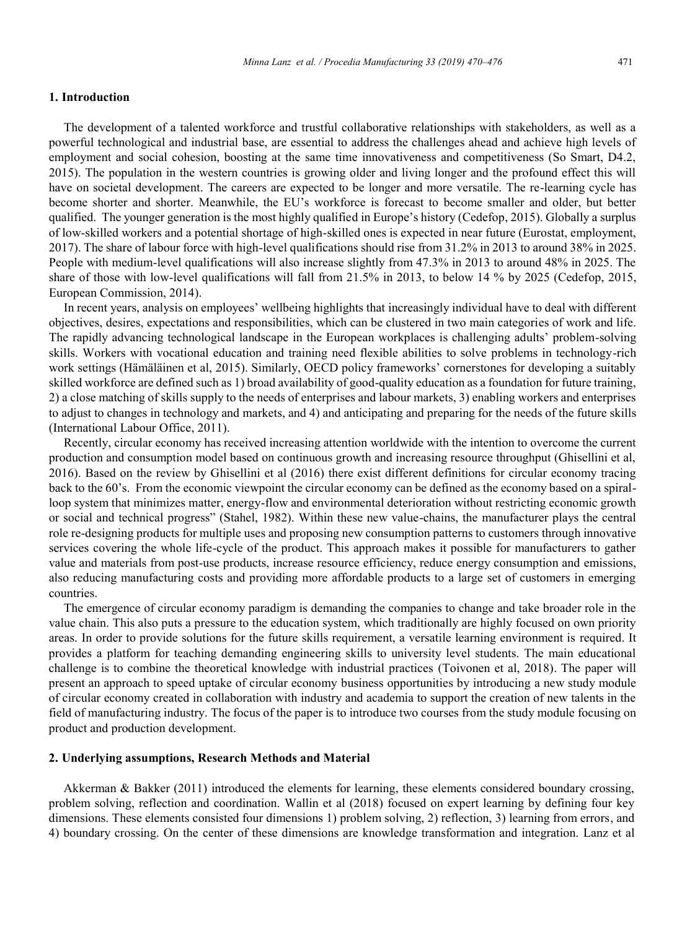## **1. Introduction**

The development of a talented workforce and trustful collaborative relationships with stakeholders, as well as a powerful technological and industrial base, are essential to address the challenges ahead and achieve high levels of employment and social cohesion, boosting at the same time innovativeness and competitiveness (So Smart, D4.2, 2015). The population in the western countries is growing older and living longer and the profound effect this will have on societal development. The careers are expected to be longer and more versatile. The re-learning cycle has become shorter and shorter. Meanwhile, the EU's workforce is forecast to become smaller and older, but better qualified. The younger generation is the most highly qualified in Europe's history (Cedefop, 2015). Globally a surplus of low-skilled workers and a potential shortage of high-skilled ones is expected in near future (Eurostat, employment, 2017). The share of labour force with high-level qualifications should rise from 31.2% in 2013 to around 38% in 2025. People with medium-level qualifications will also increase slightly from 47.3% in 2013 to around 48% in 2025. The share of those with low-level qualifications will fall from 21.5% in 2013, to below 14 % by 2025 (Cedefop, 2015, European Commission, 2014).

In recent years, analysis on employees' wellbeing highlights that increasingly individual have to deal with different objectives, desires, expectations and responsibilities, which can be clustered in two main categories of work and life. The rapidly advancing technological landscape in the European workplaces is challenging adults' problem-solving skills. Workers with vocational education and training need flexible abilities to solve problems in technology-rich work settings (Hämäläinen et al, 2015). Similarly, OECD policy frameworks' cornerstones for developing a suitably skilled workforce are defined such as 1) broad availability of good-quality education as a foundation for future training, 2) a close matching of skills supply to the needs of enterprises and labour markets, 3) enabling workers and enterprises to adjust to changes in technology and markets, and 4) and anticipating and preparing for the needs of the future skills (International Labour Office, 2011).

Recently, circular economy has received increasing attention worldwide with the intention to overcome the current production and consumption model based on continuous growth and increasing resource throughput (Ghisellini et al, 2016). Based on the review by Ghisellini et al (2016) there exist different definitions for circular economy tracing back to the 60's. From the economic viewpoint the circular economy can be defined as the economy based on a spiralloop system that minimizes matter, energy-flow and environmental deterioration without restricting economic growth or social and technical progress" (Stahel, 1982). Within these new value-chains, the manufacturer plays the central role re-designing products for multiple uses and proposing new consumption patterns to customers through innovative services covering the whole life-cycle of the product. This approach makes it possible for manufacturers to gather value and materials from post-use products, increase resource efficiency, reduce energy consumption and emissions, also reducing manufacturing costs and providing more affordable products to a large set of customers in emerging countries.

The emergence of circular economy paradigm is demanding the companies to change and take broader role in the value chain. This also puts a pressure to the education system, which traditionally are highly focused on own priority areas. In order to provide solutions for the future skills requirement, a versatile learning environment is required. It provides a platform for teaching demanding engineering skills to university level students. The main educational challenge is to combine the theoretical knowledge with industrial practices (Toivonen et al, 2018). The paper will present an approach to speed uptake of circular economy business opportunities by introducing a new study module of circular economy created in collaboration with industry and academia to support the creation of new talents in the field of manufacturing industry. The focus of the paper is to introduce two courses from the study module focusing on product and production development.

## **2. Underlying assumptions, Research Methods and Material**

Akkerman & Bakker (2011) introduced the elements for learning, these elements considered boundary crossing, problem solving, reflection and coordination. Wallin et al (2018) focused on expert learning by defining four key dimensions. These elements consisted four dimensions 1) problem solving, 2) reflection, 3) learning from errors, and 4) boundary crossing. On the center of these dimensions are knowledge transformation and integration. Lanz et al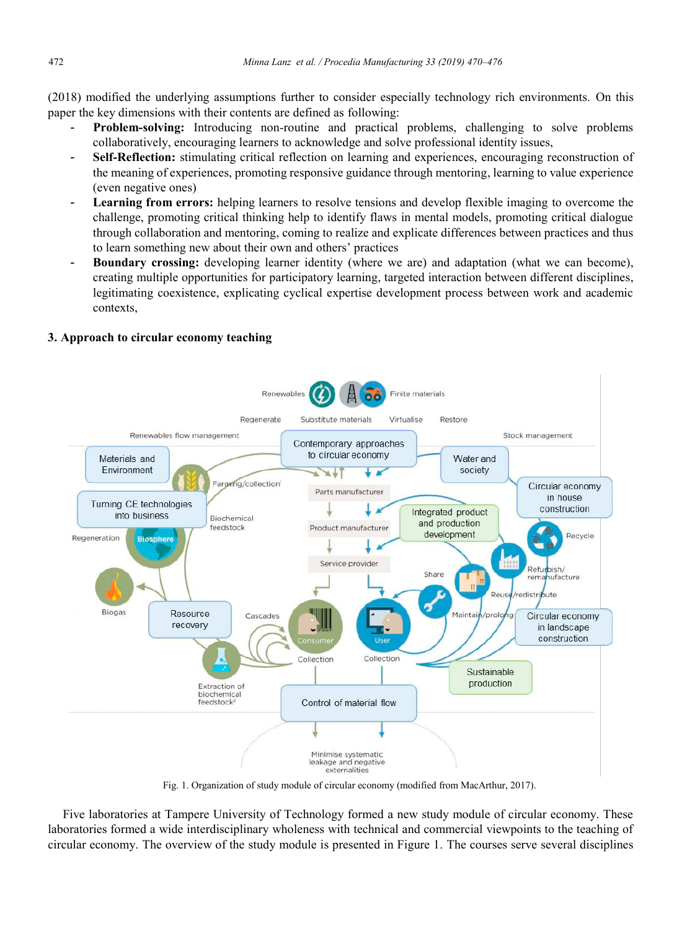(2018) modified the underlying assumptions further to consider especially technology rich environments. On this paper the key dimensions with their contents are defined as following:

- **Problem-solving:** Introducing non-routine and practical problems, challenging to solve problems collaboratively, encouraging learners to acknowledge and solve professional identity issues,
- **Self-Reflection:** stimulating critical reflection on learning and experiences, encouraging reconstruction of the meaning of experiences, promoting responsive guidance through mentoring, learning to value experience (even negative ones)
- Learning from errors: helping learners to resolve tensions and develop flexible imaging to overcome the challenge, promoting critical thinking help to identify flaws in mental models, promoting critical dialogue through collaboration and mentoring, coming to realize and explicate differences between practices and thus to learn something new about their own and others' practices
- **Boundary crossing:** developing learner identity (where we are) and adaptation (what we can become), creating multiple opportunities for participatory learning, targeted interaction between different disciplines, legitimating coexistence, explicating cyclical expertise development process between work and academic contexts,



# **3. Approach to circular economy teaching**

Fig. 1. Organization of study module of circular economy (modified from MacArthur, 2017).

Five laboratories at Tampere University of Technology formed a new study module of circular economy. These laboratories formed a wide interdisciplinary wholeness with technical and commercial viewpoints to the teaching of circular economy. The overview of the study module is presented in Figure 1. The courses serve several disciplines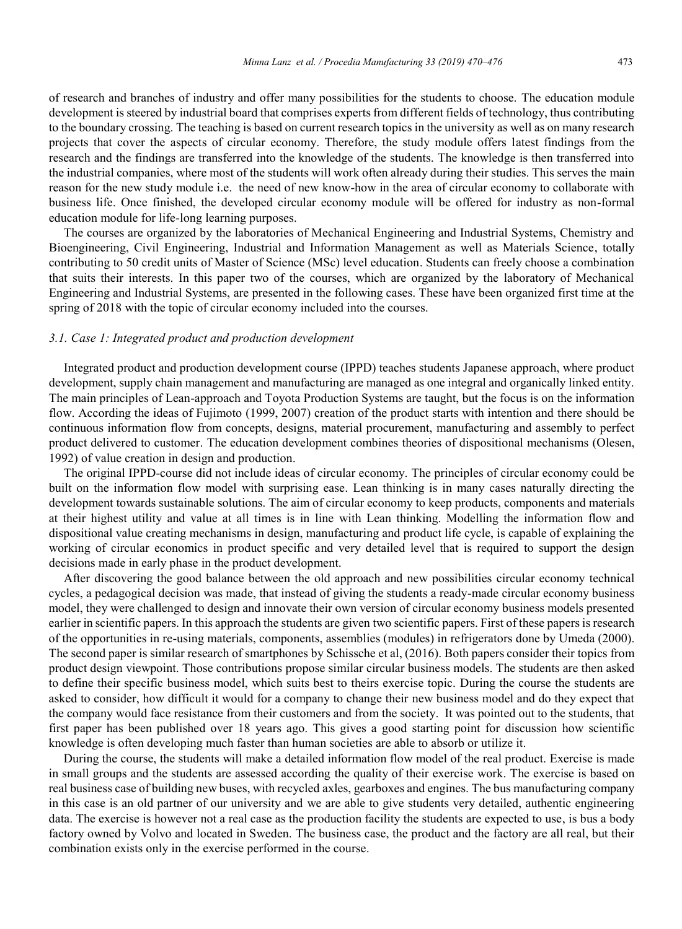of research and branches of industry and offer many possibilities for the students to choose. The education module development is steered by industrial board that comprises experts from different fields of technology, thus contributing to the boundary crossing. The teaching is based on current research topics in the university as well as on many research projects that cover the aspects of circular economy. Therefore, the study module offers latest findings from the research and the findings are transferred into the knowledge of the students. The knowledge is then transferred into the industrial companies, where most of the students will work often already during their studies. This serves the main reason for the new study module i.e. the need of new know-how in the area of circular economy to collaborate with business life. Once finished, the developed circular economy module will be offered for industry as non-formal education module for life-long learning purposes.

The courses are organized by the laboratories of Mechanical Engineering and Industrial Systems, Chemistry and Bioengineering, Civil Engineering, Industrial and Information Management as well as Materials Science, totally contributing to 50 credit units of Master of Science (MSc) level education. Students can freely choose a combination that suits their interests. In this paper two of the courses, which are organized by the laboratory of Mechanical Engineering and Industrial Systems, are presented in the following cases. These have been organized first time at the spring of 2018 with the topic of circular economy included into the courses.

#### *3.1. Case 1: Integrated product and production development*

Integrated product and production development course (IPPD) teaches students Japanese approach, where product development, supply chain management and manufacturing are managed as one integral and organically linked entity. The main principles of Lean-approach and Toyota Production Systems are taught, but the focus is on the information flow. According the ideas of Fujimoto (1999, 2007) creation of the product starts with intention and there should be continuous information flow from concepts, designs, material procurement, manufacturing and assembly to perfect product delivered to customer. The education development combines theories of dispositional mechanisms (Olesen, 1992) of value creation in design and production.

The original IPPD-course did not include ideas of circular economy. The principles of circular economy could be built on the information flow model with surprising ease. Lean thinking is in many cases naturally directing the development towards sustainable solutions. The aim of circular economy to keep products, components and materials at their highest utility and value at all times is in line with Lean thinking. Modelling the information flow and dispositional value creating mechanisms in design, manufacturing and product life cycle, is capable of explaining the working of circular economics in product specific and very detailed level that is required to support the design decisions made in early phase in the product development.

After discovering the good balance between the old approach and new possibilities circular economy technical cycles, a pedagogical decision was made, that instead of giving the students a ready-made circular economy business model, they were challenged to design and innovate their own version of circular economy business models presented earlier in scientific papers. In this approach the students are given two scientific papers. First of these papers is research of the opportunities in re-using materials, components, assemblies (modules) in refrigerators done by Umeda (2000). The second paper is similar research of smartphones by Schissche et al, (2016). Both papers consider their topics from product design viewpoint. Those contributions propose similar circular business models. The students are then asked to define their specific business model, which suits best to theirs exercise topic. During the course the students are asked to consider, how difficult it would for a company to change their new business model and do they expect that the company would face resistance from their customers and from the society. It was pointed out to the students, that first paper has been published over 18 years ago. This gives a good starting point for discussion how scientific knowledge is often developing much faster than human societies are able to absorb or utilize it.

During the course, the students will make a detailed information flow model of the real product. Exercise is made in small groups and the students are assessed according the quality of their exercise work. The exercise is based on real business case of building new buses, with recycled axles, gearboxes and engines. The bus manufacturing company in this case is an old partner of our university and we are able to give students very detailed, authentic engineering data. The exercise is however not a real case as the production facility the students are expected to use, is bus a body factory owned by Volvo and located in Sweden. The business case, the product and the factory are all real, but their combination exists only in the exercise performed in the course.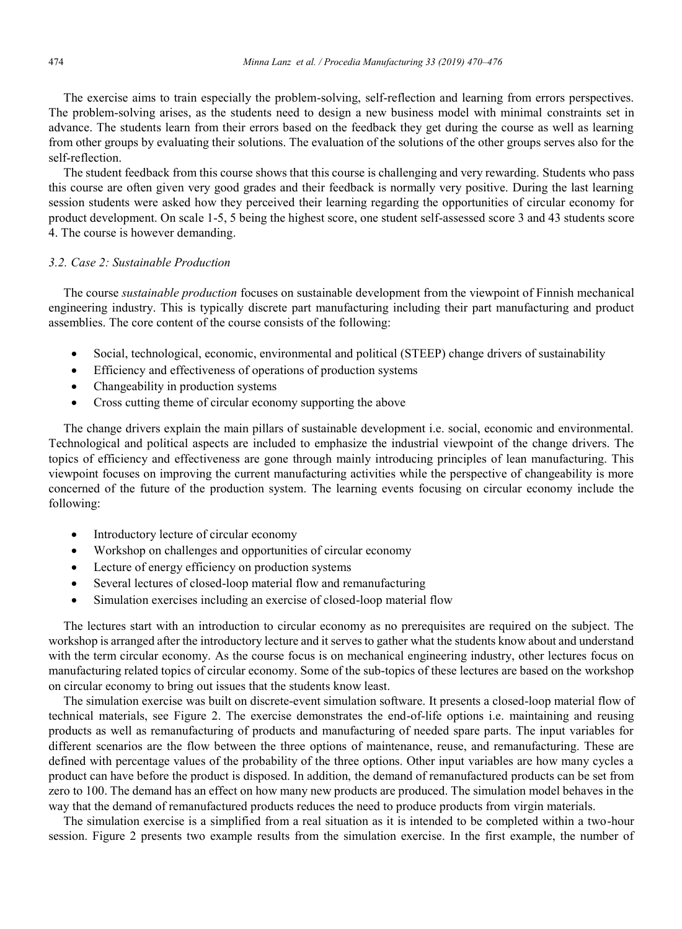The exercise aims to train especially the problem-solving, self-reflection and learning from errors perspectives. The problem-solving arises, as the students need to design a new business model with minimal constraints set in advance. The students learn from their errors based on the feedback they get during the course as well as learning from other groups by evaluating their solutions. The evaluation of the solutions of the other groups serves also for the self-reflection.

The student feedback from this course shows that this course is challenging and very rewarding. Students who pass this course are often given very good grades and their feedback is normally very positive. During the last learning session students were asked how they perceived their learning regarding the opportunities of circular economy for product development. On scale 1-5, 5 being the highest score, one student self-assessed score 3 and 43 students score 4. The course is however demanding.

### *3.2. Case 2: Sustainable Production*

The course *sustainable production* focuses on sustainable development from the viewpoint of Finnish mechanical engineering industry. This is typically discrete part manufacturing including their part manufacturing and product assemblies. The core content of the course consists of the following:

- Social, technological, economic, environmental and political (STEEP) change drivers of sustainability
- Efficiency and effectiveness of operations of production systems
- Changeability in production systems
- Cross cutting theme of circular economy supporting the above

The change drivers explain the main pillars of sustainable development i.e. social, economic and environmental. Technological and political aspects are included to emphasize the industrial viewpoint of the change drivers. The topics of efficiency and effectiveness are gone through mainly introducing principles of lean manufacturing. This viewpoint focuses on improving the current manufacturing activities while the perspective of changeability is more concerned of the future of the production system. The learning events focusing on circular economy include the following:

- Introductory lecture of circular economy
- Workshop on challenges and opportunities of circular economy
- Lecture of energy efficiency on production systems
- Several lectures of closed-loop material flow and remanufacturing
- Simulation exercises including an exercise of closed-loop material flow

The lectures start with an introduction to circular economy as no prerequisites are required on the subject. The workshop is arranged after the introductory lecture and it serves to gather what the students know about and understand with the term circular economy. As the course focus is on mechanical engineering industry, other lectures focus on manufacturing related topics of circular economy. Some of the sub-topics of these lectures are based on the workshop on circular economy to bring out issues that the students know least.

The simulation exercise was built on discrete-event simulation software. It presents a closed-loop material flow of technical materials, see Figure 2. The exercise demonstrates the end-of-life options i.e. maintaining and reusing products as well as remanufacturing of products and manufacturing of needed spare parts. The input variables for different scenarios are the flow between the three options of maintenance, reuse, and remanufacturing. These are defined with percentage values of the probability of the three options. Other input variables are how many cycles a product can have before the product is disposed. In addition, the demand of remanufactured products can be set from zero to 100. The demand has an effect on how many new products are produced. The simulation model behaves in the way that the demand of remanufactured products reduces the need to produce products from virgin materials.

The simulation exercise is a simplified from a real situation as it is intended to be completed within a two-hour session. Figure 2 presents two example results from the simulation exercise. In the first example, the number of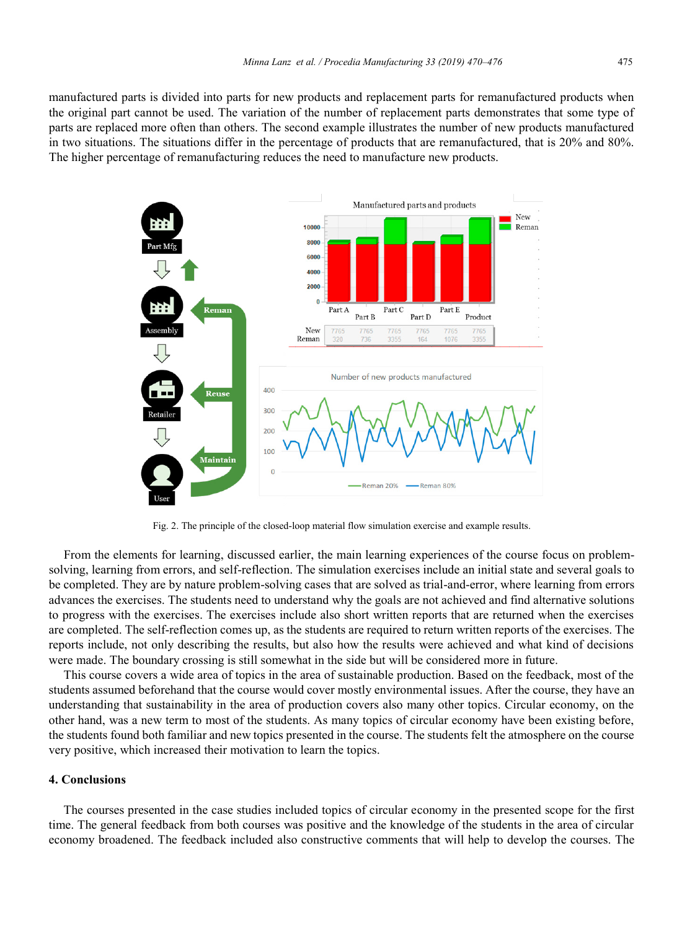manufactured parts is divided into parts for new products and replacement parts for remanufactured products when the original part cannot be used. The variation of the number of replacement parts demonstrates that some type of parts are replaced more often than others. The second example illustrates the number of new products manufactured in two situations. The situations differ in the percentage of products that are remanufactured, that is 20% and 80%. The higher percentage of remanufacturing reduces the need to manufacture new products.



Fig. 2. The principle of the closed-loop material flow simulation exercise and example results.

From the elements for learning, discussed earlier, the main learning experiences of the course focus on problemsolving, learning from errors, and self-reflection. The simulation exercises include an initial state and several goals to be completed. They are by nature problem-solving cases that are solved as trial-and-error, where learning from errors advances the exercises. The students need to understand why the goals are not achieved and find alternative solutions to progress with the exercises. The exercises include also short written reports that are returned when the exercises are completed. The self-reflection comes up, as the students are required to return written reports of the exercises. The reports include, not only describing the results, but also how the results were achieved and what kind of decisions were made. The boundary crossing is still somewhat in the side but will be considered more in future.

This course covers a wide area of topics in the area of sustainable production. Based on the feedback, most of the students assumed beforehand that the course would cover mostly environmental issues. After the course, they have an understanding that sustainability in the area of production covers also many other topics. Circular economy, on the other hand, was a new term to most of the students. As many topics of circular economy have been existing before, the students found both familiar and new topics presented in the course. The students felt the atmosphere on the course very positive, which increased their motivation to learn the topics.

### **4. Conclusions**

The courses presented in the case studies included topics of circular economy in the presented scope for the first time. The general feedback from both courses was positive and the knowledge of the students in the area of circular economy broadened. The feedback included also constructive comments that will help to develop the courses. The